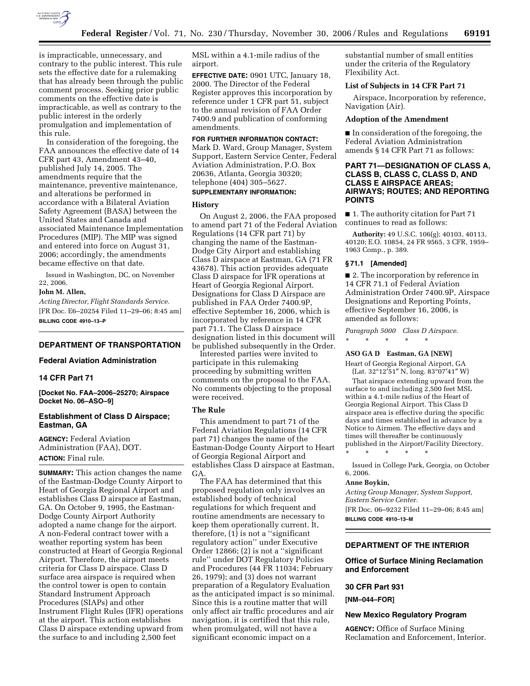

is impracticable, unnecessary, and contrary to the public interest. This rule sets the effective date for a rulemaking that has already been through the public comment process. Seeking prior public comments on the effective date is impracticable, as well as contrary to the public interest in the orderly promulgation and implementation of this rule.

In consideration of the foregoing, the FAA announces the effective date of 14 CFR part 43, Amendment 43–40, published July 14, 2005. The amendments require that the maintenance, preventive maintenance, and alterations be performed in accordance with a Bilateral Aviation Safety Agreement (BASA) between the United States and Canada and associated Maintenance Implementation Procedures (MIP). The MIP was signed and entered into force on August 31, 2006; accordingly, the amendments became effective on that date.

Issued in Washington, DC, on November 22, 2006.

#### **John M. Allen,**

*Acting Director, Flight Standards Service.*  [FR Doc. E6–20254 Filed 11–29–06; 8:45 am] **BILLING CODE 4910–13–P** 

#### **DEPARTMENT OF TRANSPORTATION**

## **Federal Aviation Administration**

## **14 CFR Part 71**

**[Docket No. FAA–2006–25270; Airspace Docket No. 06–ASO–9]** 

#### **Establishment of Class D Airspace; Eastman, GA**

**AGENCY:** Federal Aviation Administration (FAA), DOT. **ACTION:** Final rule.

**SUMMARY:** This action changes the name of the Eastman-Dodge County Airport to Heart of Georgia Regional Airport and establishes Class D airspace at Eastman, GA. On October 9, 1995, the Eastman-Dodge County Airport Authority adopted a name change for the airport. A non-Federal contract tower with a weather reporting system has been constructed at Heart of Georgia Regional Airport. Therefore, the airport meets criteria for Class D airspace. Class D surface area airspace is required when the control tower is open to contain Standard Instrument Approach Procedures (SIAPs) and other Instrument Flight Rules (IFR) operations at the airport. This action establishes Class D airspace extending upward from the surface to and including 2,500 feet

MSL within a 4.1-mile radius of the airport.

**EFFECTIVE DATE:** 0901 UTC, January 18, 2000. The Director of the Federal Register approves this incorporation by reference under 1 CFR part 51, subject to the annual revision of FAA Order 7400.9 and publication of conforming amendments.

## **FOR FURTHER INFORMATION CONTACT:**

Mark D. Ward, Group Manager, System Support, Eastern Service Center, Federal Aviation Administration, P.O. Box 20636, Atlanta, Georgia 30320; telephone (404) 305–5627. **SUPPLEMENTARY INFORMATION:** 

## **History**

On August 2, 2006, the FAA proposed to amend part 71 of the Federal Aviation Regulations (14 CFR part 71) by changing the name of the Eastman-Dodge City Airport and establishing Class D airspace at Eastman, GA (71 FR 43678). This action provides adequate Class D airspace for IFR operations at Heart of Georgia Regional Airport. Designations for Class D Airspace are published in FAA Order 7400.9P, effective September 16, 2006, which is incorporated by reference in 14 CFR part 71.1. The Class D airspace designation listed in this document will be published subsequently in the Order.

Interested parties were invited to participate in this rulemaking proceeding by submitting written comments on the proposal to the FAA. No comments objecting to the proposal were received.

## **The Rule**

This amendment to part 71 of the Federal Aviation Regulations (14 CFR part 71) changes the name of the Eastman-Dodge County Airport to Heart of Georgia Regional Airport and establishes Class D airspace at Eastman, GA.

The FAA has determined that this proposed regulation only involves an established body of technical regulations for which frequent and routine amendments are necessary to keep them operationally current. It, therefore,  $(1)$  is not a "significant regulatory action'' under Executive Order 12866; (2) is not a ''significant rule'' under DOT Regulatory Policies and Procedures (44 FR 11034; February 26, 1979); and (3) does not warrant preparation of a Regulatory Evaluation as the anticipated impact is so minimal. Since this is a routine matter that will only affect air traffic procedures and air navigation, it is certified that this rule, when promulgated, will not have a significant economic impact on a

substantial number of small entities under the criteria of the Regulatory Flexibility Act.

#### **List of Subjects in 14 CFR Part 71**

Airspace, Incorporation by reference, Navigation (Air).

#### **Adoption of the Amendment**

■ In consideration of the foregoing, the Federal Aviation Administration amends § 14 CFR Part 71 as follows:

## **PART 71—DESIGNATION OF CLASS A, CLASS B, CLASS C, CLASS D, AND CLASS E AIRSPACE AREAS; AIRWAYS; ROUTES; AND REPORTING POINTS**

■ 1. The authority citation for Part 71 continues to read as follows:

**Authority:** 49 U.S.C. 106(g); 40103, 40113, 40120; E.O. 10854, 24 FR 9565, 3 CFR, 1959– 1963 Comp., p. 389.

## **§ 71.1 [Amended]**

■ 2. The incorporation by reference in 14 CFR 71.1 of Federal Aviation Administration Order 7400.9P, Airspace Designations and Reporting Points, effective September 16, 2006, is amended as follows:

*Paragraph 5000 Class D Airspace.* 

#### \* \* \* \* \*

## **ASO GA D Eastman, GA [NEW]**

Heart of Georgia Regional Airport, GA (Lat. 32°12′51″ N, long. 83°07′41″ W)

That airspace extending upward from the surface to and including  $\tilde{2},5\tilde{0}0$  feet MSL within a 4.1-mile radius of the Heart of Georgia Regional Airport. This Class D airspace area is effective during the specific days and times established in advance by a Notice to Airmen. The effective days and times will thereafter be continuously published in the Airport/Facility Directory.

Issued in College Park, Georgia, on October 6, 2006.

#### **Anne Boykin,**

*Acting Group Manager, System Support, Eastern Service Center.* 

[FR Doc. 06–9232 Filed 11–29–06; 8:45 am] **BILLING CODE 4910–13–M** 

\* \* \* \* \*

#### **DEPARTMENT OF THE INTERIOR**

#### **Office of Surface Mining Reclamation and Enforcement**

#### **30 CFR Part 931**

**[NM–044–FOR]** 

#### **New Mexico Regulatory Program**

**AGENCY:** Office of Surface Mining Reclamation and Enforcement, Interior.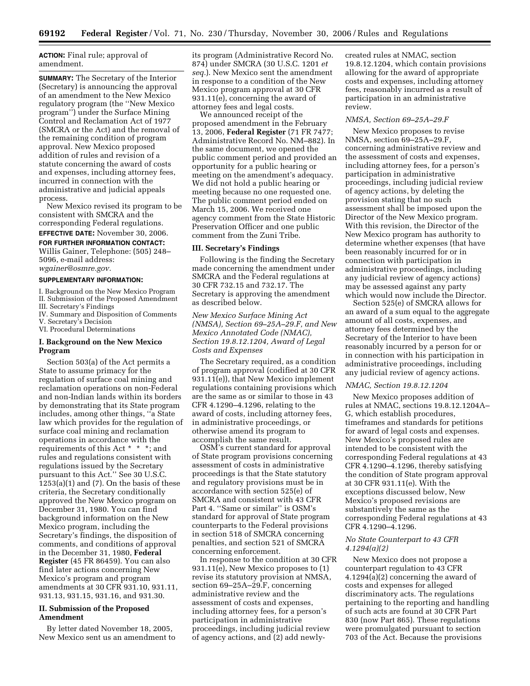**ACTION:** Final rule; approval of amendment.

**SUMMARY:** The Secretary of the Interior (Secretary) is announcing the approval of an amendment to the New Mexico regulatory program (the ''New Mexico program'') under the Surface Mining Control and Reclamation Act of 1977 (SMCRA or the Act) and the removal of the remaining condition of program approval. New Mexico proposed addition of rules and revision of a statute concerning the award of costs and expenses, including attorney fees, incurred in connection with the administrative and judicial appeals process.

New Mexico revised its program to be consistent with SMCRA and the corresponding Federal regulations. **EFFECTIVE DATE:** November 30, 2006.

# **FOR FURTHER INFORMATION CONTACT:**

Willis Gainer, Telephone: (505) 248– 5096, e-mail address: *wgainer@osmre.gov.* 

#### **SUPPLEMENTARY INFORMATION:**

I. Background on the New Mexico Program II. Submission of the Proposed Amendment

III. Secretary's Findings

IV. Summary and Disposition of Comments

V. Secretary's Decision

VI. Procedural Determinations

## **I. Background on the New Mexico Program**

Section 503(a) of the Act permits a State to assume primacy for the regulation of surface coal mining and reclamation operations on non-Federal and non-Indian lands within its borders by demonstrating that its State program includes, among other things, ''a State law which provides for the regulation of surface coal mining and reclamation operations in accordance with the requirements of this Act \* \* \*; and rules and regulations consistent with regulations issued by the Secretary pursuant to this Act.'' See 30 U.S.C.  $1253(a)(1)$  and  $(7)$ . On the basis of these criteria, the Secretary conditionally approved the New Mexico program on December 31, 1980. You can find background information on the New Mexico program, including the Secretary's findings, the disposition of comments, and conditions of approval in the December 31, 1980, **Federal Register** (45 FR 86459). You can also find later actions concerning New Mexico's program and program amendments at 30 CFR 931.10, 931.11, 931.13, 931.15, 931.16, and 931.30.

## **II. Submission of the Proposed Amendment**

By letter dated November 18, 2005, New Mexico sent us an amendment to its program (Administrative Record No. 874) under SMCRA (30 U.S.C. 1201 *et seq.*). New Mexico sent the amendment in response to a condition of the New Mexico program approval at 30 CFR 931.11(e), concerning the award of attorney fees and legal costs.

We announced receipt of the proposed amendment in the February 13, 2006, **Federal Register** (71 FR 7477; Administrative Record No. NM–882). In the same document, we opened the public comment period and provided an opportunity for a public hearing or meeting on the amendment's adequacy. We did not hold a public hearing or meeting because no one requested one. The public comment period ended on March 15, 2006. We received one agency comment from the State Historic Preservation Officer and one public comment from the Zuni Tribe.

#### **III. Secretary's Findings**

Following is the finding the Secretary made concerning the amendment under SMCRA and the Federal regulations at 30 CFR 732.15 and 732.17. The Secretary is approving the amendment as described below.

*New Mexico Surface Mining Act (NMSA), Section 69–25A–29.F, and New Mexico Annotated Code (NMAC), Section 19.8.12.1204, Award of Legal Costs and Expenses* 

The Secretary required, as a condition of program approval (codified at 30 CFR 931.11(e)), that New Mexico implement regulations containing provisions which are the same as or similar to those in 43 CFR 4.1290–4.1296, relating to the award of costs, including attorney fees, in administrative proceedings, or otherwise amend its program to accomplish the same result.

OSM's current standard for approval of State program provisions concerning assessment of costs in administrative proceedings is that the State statutory and regulatory provisions must be in accordance with section 525(e) of SMCRA and consistent with 43 CFR Part 4. ''Same or similar'' is OSM's standard for approval of State program counterparts to the Federal provisions in section 518 of SMCRA concerning penalties, and section 521 of SMCRA concerning enforcement.

In response to the condition at 30 CFR 931.11(e), New Mexico proposes to (1) revise its statutory provision at NMSA, section 69–25A–29.F, concerning administrative review and the assessment of costs and expenses, including attorney fees, for a person's participation in administrative proceedings, including judicial review of agency actions, and (2) add newlycreated rules at NMAC, section 19.8.12.1204, which contain provisions allowing for the award of appropriate costs and expenses, including attorney fees, reasonably incurred as a result of participation in an administrative review.

#### *NMSA, Section 69–25A–29.F*

New Mexico proposes to revise NMSA, section 69–25A–29.F, concerning administrative review and the assessment of costs and expenses, including attorney fees, for a person's participation in administrative proceedings, including judicial review of agency actions, by deleting the provision stating that no such assessment shall be imposed upon the Director of the New Mexico program. With this revision, the Director of the New Mexico program has authority to determine whether expenses (that have been reasonably incurred for or in connection with participation in administrative proceedings, including any judicial review of agency actions) may be assessed against any party which would now include the Director.

Section 525(e) of SMCRA allows for an award of a sum equal to the aggregate amount of all costs, expenses, and attorney fees determined by the Secretary of the Interior to have been reasonably incurred by a person for or in connection with his participation in administrative proceedings, including any judicial review of agency actions.

#### *NMAC, Section 19.8.12.1204*

New Mexico proposes addition of rules at NMAC, sections 19.8.12.1204A– G, which establish procedures, timeframes and standards for petitions for award of legal costs and expenses. New Mexico's proposed rules are intended to be consistent with the corresponding Federal regulations at 43 CFR 4.1290–4.1296, thereby satisfying the condition of State program approval at 30 CFR 931.11(e). With the exceptions discussed below, New Mexico's proposed revisions are substantively the same as the corresponding Federal regulations at 43 CFR 4.1290–4.1296.

## *No State Counterpart to 43 CFR 4.1294(a)(2)*

New Mexico does not propose a counterpart regulation to 43 CFR 4.1294(a)(2) concerning the award of costs and expenses for alleged discriminatory acts. The regulations pertaining to the reporting and handling of such acts are found at 30 CFR Part 830 (now Part 865). These regulations were promulgated pursuant to section 703 of the Act. Because the provisions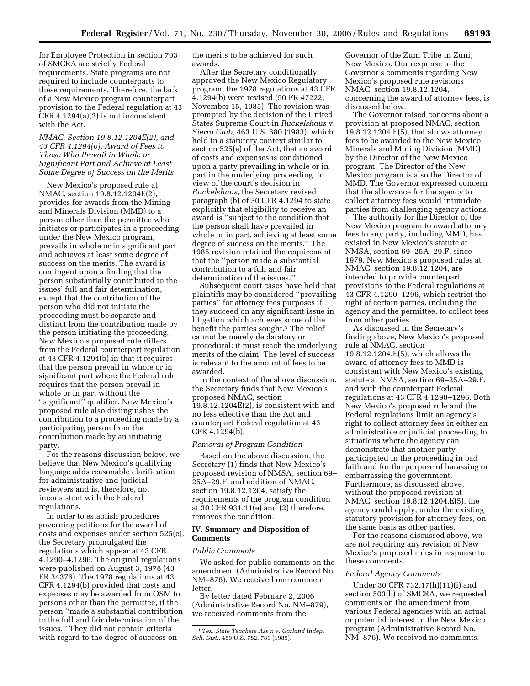for Employee Protection in section 703 of SMCRA are strictly Federal requirements, State programs are not required to include counterparts to these requirements. Therefore, the lack of a New Mexico program counterpart provision to the Federal regulation at 43 CFR 4.1294(a)(2) is not inconsistent with the Act.

## *NMAC, Section 19.8.12.1204E(2), and 43 CFR 4.1294(b), Award of Fees to Those Who Prevail in Whole or Significant Part and Achieve at Least Some Degree of Success on the Merits*

New Mexico's proposed rule at NMAC, section 19.8.12.1204E(2), provides for awards from the Mining and Minerals Division (MMD) to a person other than the permittee who initiates or participates in a proceeding under the New Mexico program, prevails in whole or in significant part and achieves at least some degree of success on the merits. The award is contingent upon a finding that the person substantially contributed to the issues' full and fair determination, except that the contribution of the person who did not initiate the proceeding must be separate and distinct from the contribution made by the person initiating the proceeding. New Mexico's proposed rule differs from the Federal counterpart regulation at 43 CFR 4.1294(b) in that it requires that the person prevail in whole or in significant part where the Federal rule requires that the person prevail in whole or in part without the ''significant'' qualifier. New Mexico's proposed rule also distinguishes the contribution to a proceeding made by a participating person from the contribution made by an initiating party.

For the reasons discussion below, we believe that New Mexico's qualifying language adds reasonable clarification for administrative and judicial reviewers and is, therefore, not inconsistent with the Federal regulations.

In order to establish procedures governing petitions for the award of costs and expenses under section 525(e), the Secretary promulgated the regulations which appear at 43 CFR 4.1290–4.1296. The original regulations were published on August 3, 1978 (43 FR 34376). The 1978 regulations at 43 CFR 4.1294(b) provided that costs and expenses may be awarded from OSM to persons other than the permittee, if the person ''made a substantial contribution to the full and fair determination of the issues.'' They did not contain criteria with regard to the degree of success on

the merits to be achieved for such awards.

After the Secretary conditionally approved the New Mexico Regulatory program, the 1978 regulations at 43 CFR 4.1294(b) were revised (50 FR 47222; November 15, 1985). The revision was prompted by the decision of the United States Supreme Court in *Ruckelshaus* v. *Sierra Club*, 463 U.S. 680 (1983), which held in a statutory context similar to section 525(e) of the Act, that an award of costs and expenses is conditioned upon a party prevailing in whole or in part in the underlying proceeding. In view of the court's decision in *Ruckelshaus*, the Secretary revised paragraph (b) of 30 CFR 4.1294 to state explicitly that eligibility to receive an award is ''subject to the condition that the person shall have prevailed in whole or in part, achieving at least some degree of success on the merits.'' The 1985 revision retained the requirement that the ''person made a substantial contribution to a full and fair determination of the issues.''

Subsequent court cases have held that plaintiffs may be considered ''prevailing parties'' for attorney fees purposes if they succeed on any significant issue in litigation which achieves some of the benefit the parties sought.<sup>1</sup> The relief cannot be merely declaratory or procedural; it must reach the underlying merits of the claim. The level of success is relevant to the amount of fees to be awarded.

In the context of the above discussion, the Secretary finds that New Mexico's proposed NMAC, section 19.8.12.1204E(2), is consistent with and no less effective than the Act and counterpart Federal regulation at 43 CFR 4.1294(b).

#### *Removal of Program Condition*

Based on the above discussion, the Secretary (1) finds that New Mexico's proposed revision of NMSA, section 69– 25A–29.F, and addition of NMAC, section 19.8.12.1204, satisfy the requirements of the program condition at 30 CFR 931.11(e) and (2) therefore, removes the condition.

#### **IV. Summary and Disposition of Comments**

#### *Public Comments*

We asked for public comments on the amendment (Administrative Record No. NM–876). We received one comment letter.

By letter dated February 2, 2006 (Administrative Record No. NM–879), we received comments from the

Governor of the Zuni Tribe in Zuni, New Mexico. Our response to the Governor's comments regarding New Mexico's proposed rule revisions NMAC, section 19.8.12.1204, concerning the award of attorney fees, is discussed below.

The Governor raised concerns about a provision at proposed NMAC, section 19.8.12.1204.E(5), that allows attorney fees to be awarded to the New Mexico Minerals and Mining Division (MMD) by the Director of the New Mexico program. The Director of the New Mexico program is also the Director of MMD. The Governor expressed concern that the allowance for the agency to collect attorney fees would intimidate parties from challenging agency actions.

The authority for the Director of the New Mexico program to award attorney fees to any party, including MMD, has existed in New Mexico's statute at NMSA, section 69–25A–29.F, since 1979. New Mexico's proposed rules at NMAC, section 19.8.12.1204, are intended to provide counterpart provisions to the Federal regulations at 43 CFR 4.1290–1296, which restrict the right of certain parties, including the agency and the permittee, to collect fees from other parties.

As discussed in the Secretary's finding above, New Mexico's proposed rule at NMAC, section 19.8.12.1204.E(5), which allows the award of attorney fees to MMD is consistent with New Mexico's existing statute at NMSA, section 69–25A–29.F, and with the counterpart Federal regulations at 43 CFR 4.1290–1296. Both New Mexico's proposed rule and the Federal regulations limit an agency's right to collect attorney fees in either an administrative or judicial proceeding to situations where the agency can demonstrate that another party participated in the proceeding in bad faith and for the purpose of harassing or embarrassing the government. Furthermore, as discussed above, without the proposed revision at NMAC, section 19.8.12.1204.E(5), the agency could apply, under the existing statutory provision for attorney fees, on the same basis as other parties.

For the reasons discussed above, we are not requiring any revision of New Mexico's proposed rules in response to these comments.

## *Federal Agency Comments*

Under 30 CFR 732.17(h)(11)(i) and section 503(b) of SMCRA, we requested comments on the amendment from various Federal agencies with an actual or potential interest in the New Mexico program (Administrative Record No. NM–876). We received no comments.

<sup>1</sup>*Tex. State Teachers Ass'n* v. *Garland Indep. Sch. Dist.*, 489 U.S. 782, 789 (1989).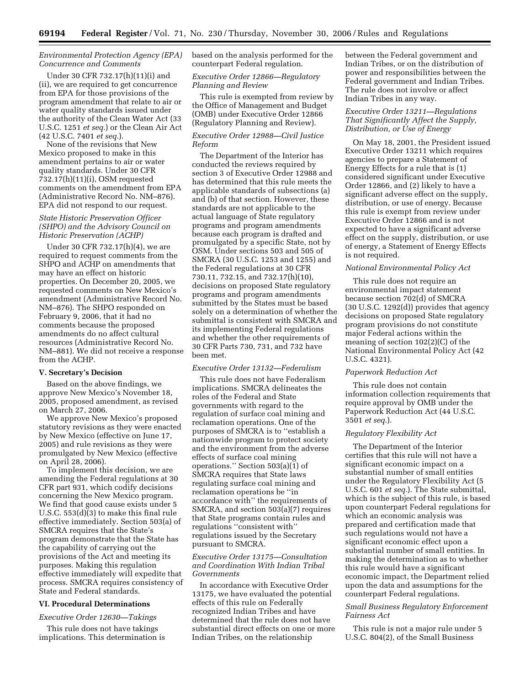## *Environmental Protection Agency (EPA) Concurrence and Comments*

Under 30 CFR 732.17(h)(11)(i) and (ii), we are required to get concurrence from EPA for those provisions of the program amendment that relate to air or water quality standards issued under the authority of the Clean Water Act (33 U.S.C. 1251 *et seq.*) or the Clean Air Act (42 U.S.C. 7401 *et seq.*).

None of the revisions that New Mexico proposed to make in this amendment pertains to air or water quality standards. Under 30 CFR 732.17(h)(11)(i), OSM requested comments on the amendment from EPA (Administrative Record No. NM–876). EPA did not respond to our request.

#### *State Historic Preservation Officer (SHPO) and the Advisory Council on Historic Preservation (ACHP)*

Under 30 CFR 732.17(h)(4), we are required to request comments from the SHPO and ACHP on amendments that may have an effect on historic properties. On December 20, 2005, we requested comments on New Mexico's amendment (Administrative Record No. NM–876). The SHPO responded on February 9, 2006, that it had no comments because the proposed amendments do no affect cultural resources (Administrative Record No. NM–881). We did not receive a response from the ACHP.

#### **V. Secretary's Decision**

Based on the above findings, we approve New Mexico's November 18, 2005, proposed amendment, as revised on March 27, 2006.

We approve New Mexico's proposed statutory revisions as they were enacted by New Mexico (effective on June 17, 2005) and rule revisions as they were promulgated by New Mexico (effective on April 28, 2006).

To implement this decision, we are amending the Federal regulations at 30 CFR part 931, which codify decisions concerning the New Mexico program. We find that good cause exists under 5 U.S.C. 553(d)(3) to make this final rule effective immediately. Section 503(a) of SMCRA requires that the State's program demonstrate that the State has the capability of carrying out the provisions of the Act and meeting its purposes. Making this regulation effective immediately will expedite that process. SMCRA requires consistency of State and Federal standards.

## **VI. Procedural Determinations**

#### *Executive Order 12630—Takings*

This rule does not have takings implications. This determination is based on the analysis performed for the counterpart Federal regulation.

## *Executive Order 12866—Regulatory Planning and Review*

This rule is exempted from review by the Office of Management and Budget (OMB) under Executive Order 12866 (Regulatory Planning and Review).

## *Executive Order 12988—Civil Justice Reform*

The Department of the Interior has conducted the reviews required by section 3 of Executive Order 12988 and has determined that this rule meets the applicable standards of subsections (a) and (b) of that section. However, these standards are not applicable to the actual language of State regulatory programs and program amendments because each program is drafted and promulgated by a specific State, not by OSM. Under sections 503 and 505 of SMCRA (30 U.S.C. 1253 and 1255) and the Federal regulations at 30 CFR 730.11, 732.15, and 732.17(h)(10), decisions on proposed State regulatory programs and program amendments submitted by the States must be based solely on a determination of whether the submittal is consistent with SMCRA and its implementing Federal regulations and whether the other requirements of 30 CFR Parts 730, 731, and 732 have been met.

#### *Executive Order 13132—Federalism*

This rule does not have Federalism implications. SMCRA delineates the roles of the Federal and State governments with regard to the regulation of surface coal mining and reclamation operations. One of the purposes of SMCRA is to ''establish a nationwide program to protect society and the environment from the adverse effects of surface coal mining operations.'' Section 503(a)(1) of SMCRA requires that State laws regulating surface coal mining and reclamation operations be ''in accordance with'' the requirements of SMCRA, and section 503(a)(7) requires that State programs contain rules and regulations ''consistent with'' regulations issued by the Secretary pursuant to SMCRA.

## *Executive Order 13175—Consultation and Coordination With Indian Tribal Governments*

In accordance with Executive Order 13175, we have evaluated the potential effects of this rule on Federally recognized Indian Tribes and have determined that the rule does not have substantial direct effects on one or more Indian Tribes, on the relationship

between the Federal government and Indian Tribes, or on the distribution of power and responsibilities between the Federal government and Indian Tribes. The rule does not involve or affect Indian Tribes in any way.

## *Executive Order 13211—Regulations That Significantly Affect the Supply, Distribution, or Use of Energy*

On May 18, 2001, the President issued Executive Order 13211 which requires agencies to prepare a Statement of Energy Effects for a rule that is (1) considered significant under Executive Order 12866, and (2) likely to have a significant adverse effect on the supply, distribution, or use of energy. Because this rule is exempt from review under Executive Order 12866 and is not expected to have a significant adverse effect on the supply, distribution, or use of energy, a Statement of Energy Effects is not required.

#### *National Environmental Policy Act*

This rule does not require an environmental impact statement because section 702(d) of SMCRA (30 U.S.C. 1292(d)) provides that agency decisions on proposed State regulatory program provisions do not constitute major Federal actions within the meaning of section 102(2)(C) of the National Environmental Policy Act (42 U.S.C. 4321).

#### *Paperwork Reduction Act*

This rule does not contain information collection requirements that require approval by OMB under the Paperwork Reduction Act (44 U.S.C. 3501 *et seq.*).

#### *Regulatory Flexibility Act*

The Department of the Interior certifies that this rule will not have a significant economic impact on a substantial number of small entities under the Regulatory Flexibility Act (5 U.S.C. 601 *et seq.*). The State submittal, which is the subject of this rule, is based upon counterpart Federal regulations for which an economic analysis was prepared and certification made that such regulations would not have a significant economic effect upon a substantial number of small entities. In making the determination as to whether this rule would have a significant economic impact, the Department relied upon the data and assumptions for the counterpart Federal regulations.

## *Small Business Regulatory Enforcement Fairness Act*

This rule is not a major rule under 5 U.S.C. 804(2), of the Small Business